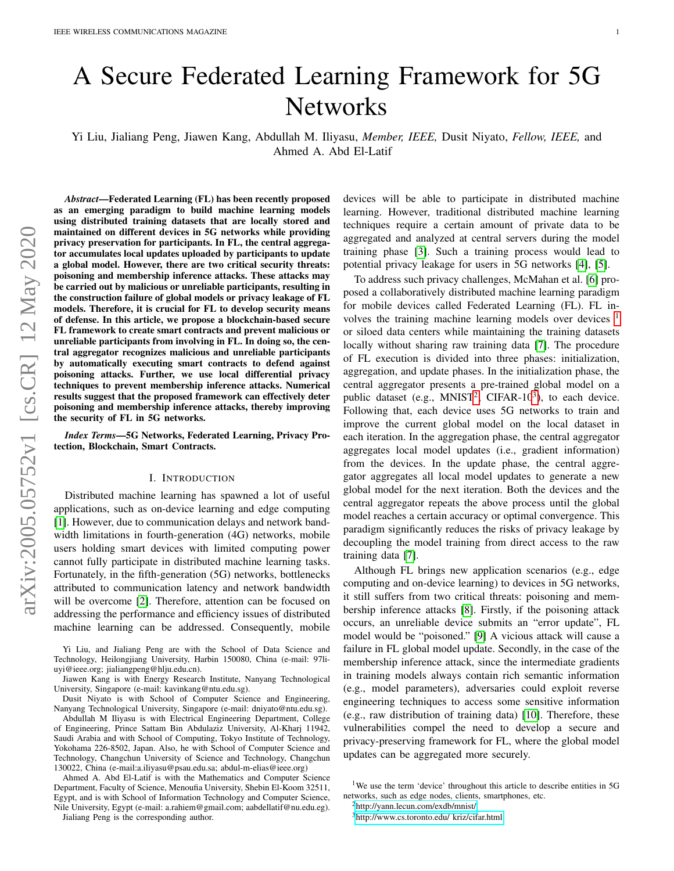# A Secure Federated Learning Framework for 5G **Networks**

Yi Liu, Jialiang Peng, Jiawen Kang, Abdullah M. Iliyasu, *Member, IEEE,* Dusit Niyato, *Fellow, IEEE,* and Ahmed A. Abd El-Latif

*Abstract*—Federated Learning (FL) has been recently proposed as an emerging paradigm to build machine learning models using distributed training datasets that are locally stored and maintained on different devices in 5G networks while providing privacy preservation for participants. In FL, the central aggregator accumulates local updates uploaded by participants to update a global model. However, there are two critical security threats: poisoning and membership inference attacks. These attacks may be carried out by malicious or unreliable participants, resulting in the construction failure of global models or privacy leakage of FL models. Therefore, it is crucial for FL to develop security means of defense. In this article, we propose a blockchain-based secure FL framework to create smart contracts and prevent malicious or unreliable participants from involving in FL. In doing so, the central aggregator recognizes malicious and unreliable participants by automatically executing smart contracts to defend against poisoning attacks. Further, we use local differential privacy techniques to prevent membership inference attacks. Numerical results suggest that the proposed framework can effectively deter poisoning and membership inference attacks, thereby improving the security of FL in 5G networks.

*Index Terms*—5G Networks, Federated Learning, Privacy Protection, Blockchain, Smart Contracts.

#### I. INTRODUCTION

Distributed machine learning has spawned a lot of useful applications, such as on-device learning and edge computing [\[1\]](#page-6-0). However, due to communication delays and network bandwidth limitations in fourth-generation (4G) networks, mobile users holding smart devices with limited computing power cannot fully participate in distributed machine learning tasks. Fortunately, in the fifth-generation (5G) networks, bottlenecks attributed to communication latency and network bandwidth will be overcome [\[2\]](#page-6-1). Therefore, attention can be focused on addressing the performance and efficiency issues of distributed machine learning can be addressed. Consequently, mobile

Yi Liu, and Jialiang Peng are with the School of Data Science and Technology, Heilongjiang University, Harbin 150080, China (e-mail: 97liuyi@ieee.org; jialiangpeng@hlju.edu.cn).

Dusit Niyato is with School of Computer Science and Engineering, Nanyang Technological University, Singapore (e-mail: dniyato@ntu.edu.sg).

Jialiang Peng is the corresponding author.

devices will be able to participate in distributed machine learning. However, traditional distributed machine learning techniques require a certain amount of private data to be aggregated and analyzed at central servers during the model training phase [\[3\]](#page-6-2). Such a training process would lead to potential privacy leakage for users in 5G networks [\[4\]](#page-6-3), [\[5\]](#page-6-4).

To address such privacy challenges, McMahan et al. [\[6\]](#page-7-0) proposed a collaboratively distributed machine learning paradigm for mobile devices called Federated Learning (FL). FL involves the training machine learning models over devices  $<sup>1</sup>$  $<sup>1</sup>$  $<sup>1</sup>$ </sup> or siloed data centers while maintaining the training datasets locally without sharing raw training data [\[7\]](#page-7-1). The procedure of FL execution is divided into three phases: initialization, aggregation, and update phases. In the initialization phase, the central aggregator presents a pre-trained global model on a public dataset (e.g.,  $MNIST^2$  $MNIST^2$ , CIFAR-10<sup>[3](#page-0-2)</sup>), to each device. Following that, each device uses 5G networks to train and improve the current global model on the local dataset in each iteration. In the aggregation phase, the central aggregator aggregates local model updates (i.e., gradient information) from the devices. In the update phase, the central aggregator aggregates all local model updates to generate a new global model for the next iteration. Both the devices and the central aggregator repeats the above process until the global model reaches a certain accuracy or optimal convergence. This paradigm significantly reduces the risks of privacy leakage by decoupling the model training from direct access to the raw training data [\[7\]](#page-7-1).

Although FL brings new application scenarios (e.g., edge computing and on-device learning) to devices in 5G networks, it still suffers from two critical threats: poisoning and membership inference attacks [\[8\]](#page-7-2). Firstly, if the poisoning attack occurs, an unreliable device submits an "error update", FL model would be "poisoned." [\[9\]](#page-7-3) A vicious attack will cause a failure in FL global model update. Secondly, in the case of the membership inference attack, since the intermediate gradients in training models always contain rich semantic information (e.g., model parameters), adversaries could exploit reverse engineering techniques to access some sensitive information (e.g., raw distribution of training data) [\[10\]](#page-7-4). Therefore, these vulnerabilities compel the need to develop a secure and privacy-preserving framework for FL, where the global model updates can be aggregated more securely.

Jiawen Kang is with Energy Research Institute, Nanyang Technological University, Singapore (e-mail: kavinkang@ntu.edu.sg).

Abdullah M Iliyasu is with Electrical Engineering Department, College of Engineering, Prince Sattam Bin Abdulaziz University, Al-Kharj 11942, Saudi Arabia and with School of Computing, Tokyo Institute of Technology, Yokohama 226-8502, Japan. Also, he with School of Computer Science and Technology, Changchun University of Science and Technology, Changchun 130022, China (e-mail:a.iliyasu@psau.edu.sa; abdul-m-elias@ieee.org)

Ahmed A. Abd El-Latif is with the Mathematics and Computer Science Department, Faculty of Science, Menoufia University, Shebin El-Koom 32511, Egypt, and is with School of Information Technology and Computer Science, Nile University, Egypt (e-mail: a.rahiem@gmail.com; aabdellatif@nu.edu.eg).

<span id="page-0-0"></span><sup>&</sup>lt;sup>1</sup>We use the term 'device' throughout this article to describe entities in 5G networks, such as edge nodes, clients, smartphones, etc.

<span id="page-0-1"></span><sup>2</sup><http://yann.lecun.com/exdb/mnist/>

<span id="page-0-2"></span><sup>3</sup>[http://www.cs.toronto.edu/ kriz/cifar.html](http://www.cs.toronto.edu/~kriz/cifar.html)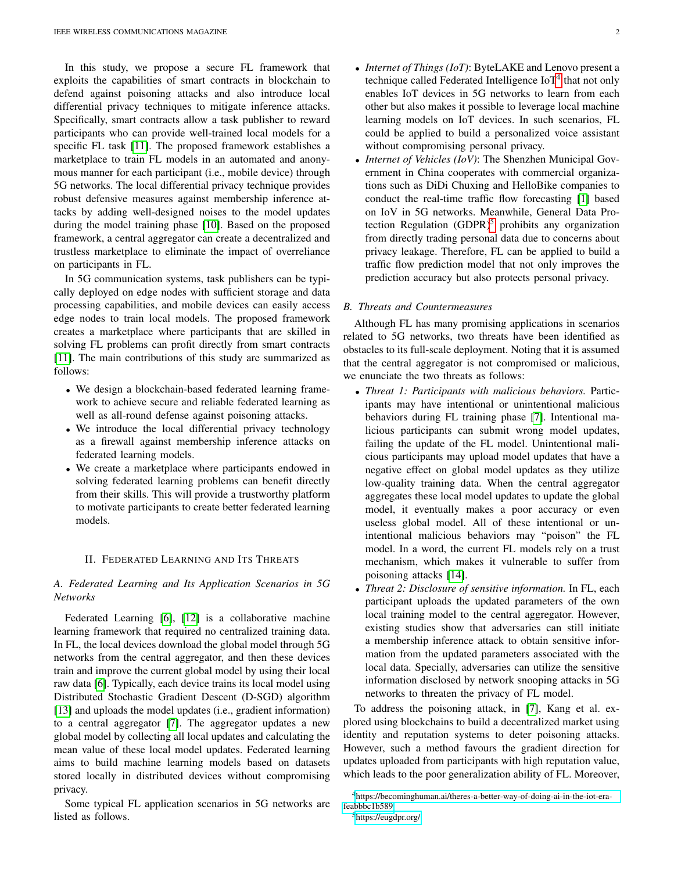In this study, we propose a secure FL framework that exploits the capabilities of smart contracts in blockchain to defend against poisoning attacks and also introduce local differential privacy techniques to mitigate inference attacks. Specifically, smart contracts allow a task publisher to reward participants who can provide well-trained local models for a specific FL task [\[11\]](#page-7-5). The proposed framework establishes a marketplace to train FL models in an automated and anonymous manner for each participant (i.e., mobile device) through 5G networks. The local differential privacy technique provides robust defensive measures against membership inference attacks by adding well-designed noises to the model updates during the model training phase [\[10\]](#page-7-4). Based on the proposed framework, a central aggregator can create a decentralized and trustless marketplace to eliminate the impact of overreliance on participants in FL.

In 5G communication systems, task publishers can be typically deployed on edge nodes with sufficient storage and data processing capabilities, and mobile devices can easily access edge nodes to train local models. The proposed framework creates a marketplace where participants that are skilled in solving FL problems can profit directly from smart contracts [\[11\]](#page-7-5). The main contributions of this study are summarized as follows:

- We design a blockchain-based federated learning framework to achieve secure and reliable federated learning as well as all-round defense against poisoning attacks.
- We introduce the local differential privacy technology as a firewall against membership inference attacks on federated learning models.
- We create a marketplace where participants endowed in solving federated learning problems can benefit directly from their skills. This will provide a trustworthy platform to motivate participants to create better federated learning models.

#### II. FEDERATED LEARNING AND ITS THREATS

## *A. Federated Learning and Its Application Scenarios in 5G Networks*

Federated Learning [\[6\]](#page-7-0), [\[12\]](#page-7-6) is a collaborative machine learning framework that required no centralized training data. In FL, the local devices download the global model through 5G networks from the central aggregator, and then these devices train and improve the current global model by using their local raw data [\[6\]](#page-7-0). Typically, each device trains its local model using Distributed Stochastic Gradient Descent (D-SGD) algorithm [\[13\]](#page-7-7) and uploads the model updates (i.e., gradient information) to a central aggregator [\[7\]](#page-7-1). The aggregator updates a new global model by collecting all local updates and calculating the mean value of these local model updates. Federated learning aims to build machine learning models based on datasets stored locally in distributed devices without compromising privacy.

Some typical FL application scenarios in 5G networks are listed as follows.

- *Internet of Things (IoT)*: ByteLAKE and Lenovo present a technique called Federated Intelligence IoT<sup>[4](#page-1-0)</sup> that not only enables IoT devices in 5G networks to learn from each other but also makes it possible to leverage local machine learning models on IoT devices. In such scenarios, FL could be applied to build a personalized voice assistant without compromising personal privacy.
- *Internet of Vehicles (IoV)*: The Shenzhen Municipal Government in China cooperates with commercial organizations such as DiDi Chuxing and HelloBike companies to conduct the real-time traffic flow forecasting [\[1\]](#page-6-0) based on IoV in 5G networks. Meanwhile, General Data Protection Regulation  $(GDPR)^5$  $(GDPR)^5$  prohibits any organization from directly trading personal data due to concerns about privacy leakage. Therefore, FL can be applied to build a traffic flow prediction model that not only improves the prediction accuracy but also protects personal privacy.

#### *B. Threats and Countermeasures*

Although FL has many promising applications in scenarios related to 5G networks, two threats have been identified as obstacles to its full-scale deployment. Noting that it is assumed that the central aggregator is not compromised or malicious, we enunciate the two threats as follows:

- *Threat 1: Participants with malicious behaviors.* Participants may have intentional or unintentional malicious behaviors during FL training phase [\[7\]](#page-7-1). Intentional malicious participants can submit wrong model updates, failing the update of the FL model. Unintentional malicious participants may upload model updates that have a negative effect on global model updates as they utilize low-quality training data. When the central aggregator aggregates these local model updates to update the global model, it eventually makes a poor accuracy or even useless global model. All of these intentional or unintentional malicious behaviors may "poison" the FL model. In a word, the current FL models rely on a trust mechanism, which makes it vulnerable to suffer from poisoning attacks [\[14\]](#page-7-8).
- *Threat 2: Disclosure of sensitive information.* In FL, each participant uploads the updated parameters of the own local training model to the central aggregator. However, existing studies show that adversaries can still initiate a membership inference attack to obtain sensitive information from the updated parameters associated with the local data. Specially, adversaries can utilize the sensitive information disclosed by network snooping attacks in 5G networks to threaten the privacy of FL model.

To address the poisoning attack, in [\[7\]](#page-7-1), Kang et al. explored using blockchains to build a decentralized market using identity and reputation systems to deter poisoning attacks. However, such a method favours the gradient direction for updates uploaded from participants with high reputation value, which leads to the poor generalization ability of FL. Moreover,

<span id="page-1-0"></span><sup>4</sup>[https://becominghuman.ai/theres-a-better-way-of-doing-ai-in-the-iot-era](https://becominghuman.ai/theres-a-better-way-of-doing-ai-in-the-iot-era-feabbbc1b589)[feabbbc1b589](https://becominghuman.ai/theres-a-better-way-of-doing-ai-in-the-iot-era-feabbbc1b589)

<span id="page-1-1"></span><sup>5</sup><https://eugdpr.org/>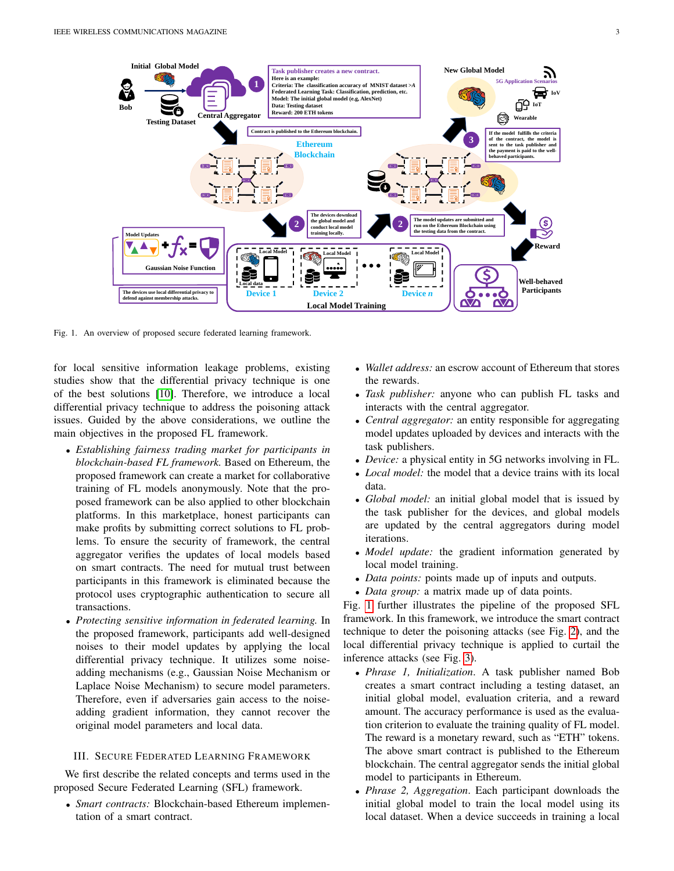

<span id="page-2-0"></span>Fig. 1. An overview of proposed secure federated learning framework.

for local sensitive information leakage problems, existing studies show that the differential privacy technique is one of the best solutions [\[10\]](#page-7-4). Therefore, we introduce a local differential privacy technique to address the poisoning attack issues. Guided by the above considerations, we outline the main objectives in the proposed FL framework.

- *Establishing fairness trading market for participants in blockchain-based FL framework.* Based on Ethereum, the proposed framework can create a market for collaborative training of FL models anonymously. Note that the proposed framework can be also applied to other blockchain platforms. In this marketplace, honest participants can make profits by submitting correct solutions to FL problems. To ensure the security of framework, the central aggregator verifies the updates of local models based on smart contracts. The need for mutual trust between participants in this framework is eliminated because the protocol uses cryptographic authentication to secure all transactions.
- *Protecting sensitive information in federated learning.* In the proposed framework, participants add well-designed noises to their model updates by applying the local differential privacy technique. It utilizes some noiseadding mechanisms (e.g., Gaussian Noise Mechanism or Laplace Noise Mechanism) to secure model parameters. Therefore, even if adversaries gain access to the noiseadding gradient information, they cannot recover the original model parameters and local data.

# III. SECURE FEDERATED LEARNING FRAMEWORK

We first describe the related concepts and terms used in the proposed Secure Federated Learning (SFL) framework.

• *Smart contracts:* Blockchain-based Ethereum implementation of a smart contract.

- *Wallet address:* an escrow account of Ethereum that stores the rewards.
- *Task publisher:* anyone who can publish FL tasks and interacts with the central aggregator.
- *Central aggregator:* an entity responsible for aggregating model updates uploaded by devices and interacts with the task publishers.
- *Device:* a physical entity in 5G networks involving in FL.
- *Local model:* the model that a device trains with its local data.
- *Global model:* an initial global model that is issued by the task publisher for the devices, and global models are updated by the central aggregators during model iterations.
- *Model update:* the gradient information generated by local model training.
- *Data points:* points made up of inputs and outputs.
- *Data group:* a matrix made up of data points.

Fig. [1](#page-2-0) further illustrates the pipeline of the proposed SFL framework. In this framework, we introduce the smart contract technique to deter the poisoning attacks (see Fig. [2\)](#page-4-0), and the local differential privacy technique is applied to curtail the inference attacks (see Fig. [3\)](#page-4-1).

- *Phrase 1, Initialization*. A task publisher named Bob creates a smart contract including a testing dataset, an initial global model, evaluation criteria, and a reward amount. The accuracy performance is used as the evaluation criterion to evaluate the training quality of FL model. The reward is a monetary reward, such as "ETH" tokens. The above smart contract is published to the Ethereum blockchain. The central aggregator sends the initial global model to participants in Ethereum.
- *Phrase 2, Aggregation*. Each participant downloads the initial global model to train the local model using its local dataset. When a device succeeds in training a local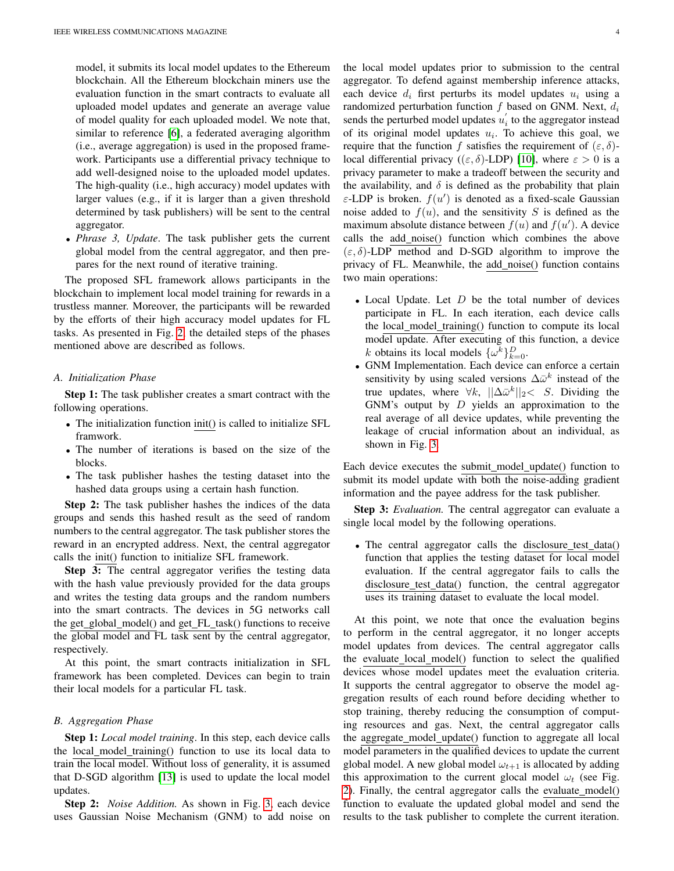model, it submits its local model updates to the Ethereum blockchain. All the Ethereum blockchain miners use the evaluation function in the smart contracts to evaluate all uploaded model updates and generate an average value of model quality for each uploaded model. We note that, similar to reference [\[6\]](#page-7-0), a federated averaging algorithm (i.e., average aggregation) is used in the proposed framework. Participants use a differential privacy technique to add well-designed noise to the uploaded model updates. The high-quality (i.e., high accuracy) model updates with larger values (e.g., if it is larger than a given threshold determined by task publishers) will be sent to the central aggregator.

• *Phrase 3, Update*. The task publisher gets the current global model from the central aggregator, and then prepares for the next round of iterative training.

The proposed SFL framework allows participants in the blockchain to implement local model training for rewards in a trustless manner. Moreover, the participants will be rewarded by the efforts of their high accuracy model updates for FL tasks. As presented in Fig. [2,](#page-4-0) the detailed steps of the phases mentioned above are described as follows.

#### *A. Initialization Phase*

Step 1: The task publisher creates a smart contract with the following operations.

- The initialization function init() is called to initialize SFL framwork.
- The number of iterations is based on the size of the blocks.
- The task publisher hashes the testing dataset into the hashed data groups using a certain hash function.

Step 2: The task publisher hashes the indices of the data groups and sends this hashed result as the seed of random numbers to the central aggregator. The task publisher stores the reward in an encrypted address. Next, the central aggregator calls the init() function to initialize SFL framework.

Step 3: The central aggregator verifies the testing data with the hash value previously provided for the data groups and writes the testing data groups and the random numbers into the smart contracts. The devices in 5G networks call the get\_global\_model() and get\_FL\_task() functions to receive the global model and FL task sent by the central aggregator, respectively.

At this point, the smart contracts initialization in SFL framework has been completed. Devices can begin to train their local models for a particular FL task.

#### *B. Aggregation Phase*

Step 1: *Local model training*. In this step, each device calls the local model training() function to use its local data to train the local model. Without loss of generality, it is assumed that D-SGD algorithm [\[13\]](#page-7-7) is used to update the local model updates.

Step 2: *Noise Addition.* As shown in Fig. [3,](#page-4-1) each device uses Gaussian Noise Mechanism (GNM) to add noise on the local model updates prior to submission to the central aggregator. To defend against membership inference attacks, each device  $d_i$  first perturbs its model updates  $u_i$  using a randomized perturbation function  $f$  based on GNM. Next,  $d_i$ sends the perturbed model updates  $u'_{i}$  to the aggregator instead of its original model updates  $u_i$ . To achieve this goal, we require that the function f satisfies the requirement of  $(\varepsilon, \delta)$ local differential privacy (( $\varepsilon$ ,  $\delta$ )-LDP) [\[10\]](#page-7-4), where  $\varepsilon > 0$  is a privacy parameter to make a tradeoff between the security and the availability, and  $\delta$  is defined as the probability that plain  $\varepsilon$ -LDP is broken.  $f(u')$  is denoted as a fixed-scale Gaussian noise added to  $f(u)$ , and the sensitivity S is defined as the maximum absolute distance between  $f(u)$  and  $f(u')$ . A device calls the add noise() function which combines the above  $(\varepsilon, \delta)$ -LDP method and D-SGD algorithm to improve the privacy of FL. Meanwhile, the add\_noise() function contains two main operations:

- Local Update. Let  $D$  be the total number of devices participate in FL. In each iteration, each device calls the local\_model\_training() function to compute its local model update. After executing of this function, a device k obtains its local models  $\{\omega^k\}_{k=0}^D$ .
- GNM Implementation. Each device can enforce a certain sensitivity by using scaled versions  $\Delta \bar{\omega}^k$  instead of the true updates, where  $\forall k, \ ||\Delta \bar{\omega}^k||_2 < S$ . Dividing the GNM's output by  $D$  yields an approximation to the real average of all device updates, while preventing the leakage of crucial information about an individual, as shown in Fig. [3.](#page-4-1)

Each device executes the submit\_model\_update() function to submit its model update with both the noise-adding gradient information and the payee address for the task publisher.

Step 3: *Evaluation.* The central aggregator can evaluate a single local model by the following operations.

• The central aggregator calls the disclosure\_test\_data() function that applies the testing dataset for local model evaluation. If the central aggregator fails to calls the disclosure\_test\_data() function, the central aggregator uses its training dataset to evaluate the local model.

At this point, we note that once the evaluation begins to perform in the central aggregator, it no longer accepts model updates from devices. The central aggregator calls the evaluate local model() function to select the qualified devices whose model updates meet the evaluation criteria. It supports the central aggregator to observe the model aggregation results of each round before deciding whether to stop training, thereby reducing the consumption of computing resources and gas. Next, the central aggregator calls the aggregate\_model\_update() function to aggregate all local model parameters in the qualified devices to update the current global model. A new global model  $\omega_{t+1}$  is allocated by adding this approximation to the current glocal model  $\omega_t$  (see Fig. [2\)](#page-4-0). Finally, the central aggregator calls the evaluate model() function to evaluate the updated global model and send the results to the task publisher to complete the current iteration.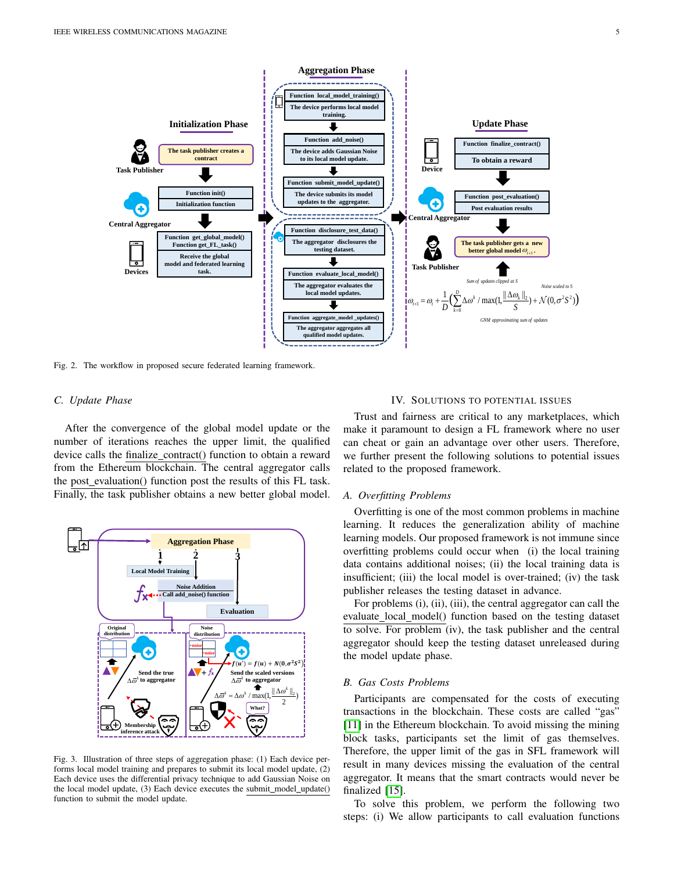

<span id="page-4-0"></span>Fig. 2. The workflow in proposed secure federated learning framework.

#### *C. Update Phase*

After the convergence of the global model update or the number of iterations reaches the upper limit, the qualified device calls the finalize\_contract() function to obtain a reward from the Ethereum blockchain. The central aggregator calls the post evaluation() function post the results of this FL task. Finally, the task publisher obtains a new better global model.



<span id="page-4-1"></span>Fig. 3. Illustration of three steps of aggregation phase: (1) Each device performs local model training and prepares to submit its local model update, (2) Each device uses the differential privacy technique to add Gaussian Noise on the local model update, (3) Each device executes the submit\_model\_update() function to submit the model update.

#### IV. SOLUTIONS TO POTENTIAL ISSUES

Trust and fairness are critical to any marketplaces, which make it paramount to design a FL framework where no user can cheat or gain an advantage over other users. Therefore, we further present the following solutions to potential issues related to the proposed framework.

#### *A. Overfitting Problems*

Overfitting is one of the most common problems in machine learning. It reduces the generalization ability of machine learning models. Our proposed framework is not immune since overfitting problems could occur when (i) the local training data contains additional noises; (ii) the local training data is insufficient; (iii) the local model is over-trained; (iv) the task publisher releases the testing dataset in advance.

For problems (i), (ii), (iii), the central aggregator can call the evaluate local model() function based on the testing dataset to solve. For problem (iv), the task publisher and the central aggregator should keep the testing dataset unreleased during the model update phase.

#### *B. Gas Costs Problems*

Participants are compensated for the costs of executing transactions in the blockchain. These costs are called "gas" [\[11\]](#page-7-5) in the Ethereum blockchain. To avoid missing the mining block tasks, participants set the limit of gas themselves. Therefore, the upper limit of the gas in SFL framework will result in many devices missing the evaluation of the central aggregator. It means that the smart contracts would never be finalized [\[15\]](#page-7-9).

To solve this problem, we perform the following two steps: (i) We allow participants to call evaluation functions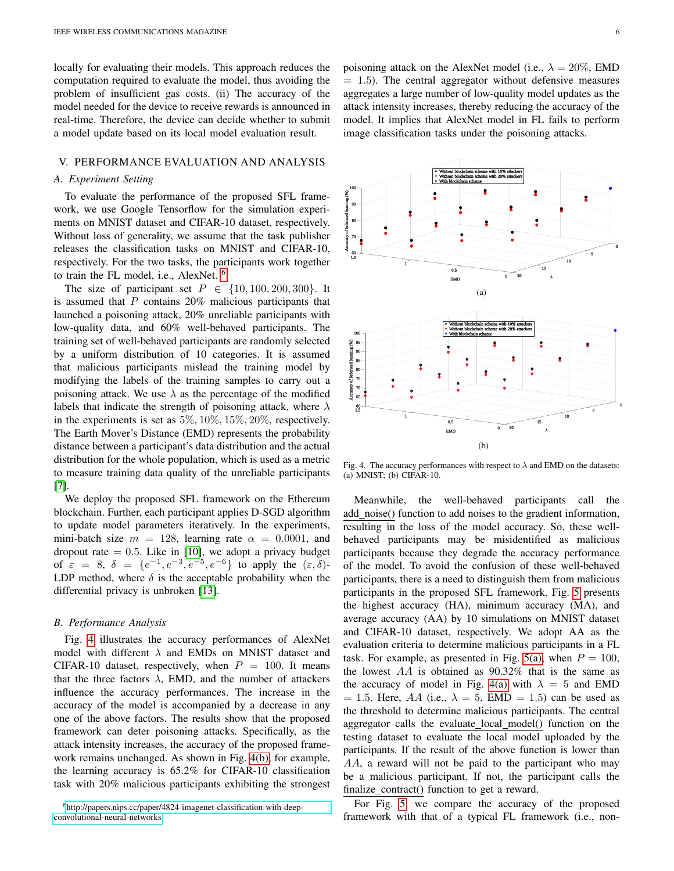locally for evaluating their models. This approach reduces the computation required to evaluate the model, thus avoiding the problem of insufficient gas costs. (ii) The accuracy of the model needed for the device to receive rewards is announced in real-time. Therefore, the device can decide whether to submit a model update based on its local model evaluation result.

#### V. PERFORMANCE EVALUATION AND ANALYSIS

### *A. Experiment Setting*

To evaluate the performance of the proposed SFL framework, we use Google Tensorflow for the simulation experiments on MNIST dataset and CIFAR-10 dataset, respectively. Without loss of generality, we assume that the task publisher releases the classification tasks on MNIST and CIFAR-10, respectively. For the two tasks, the participants work together to train the FL model, i.e., AlexNet.<sup>[6](#page-5-0)</sup>

The size of participant set  $P \in \{10, 100, 200, 300\}$ . It is assumed that  $P$  contains 20% malicious participants that launched a poisoning attack, 20% unreliable participants with low-quality data, and 60% well-behaved participants. The training set of well-behaved participants are randomly selected by a uniform distribution of 10 categories. It is assumed that malicious participants mislead the training model by modifying the labels of the training samples to carry out a poisoning attack. We use  $\lambda$  as the percentage of the modified labels that indicate the strength of poisoning attack, where  $\lambda$ in the experiments is set as 5%, 10%, 15%, 20%, respectively. The Earth Mover's Distance (EMD) represents the probability distance between a participant's data distribution and the actual distribution for the whole population, which is used as a metric to measure training data quality of the unreliable participants [\[7\]](#page-7-1).

We deploy the proposed SFL framework on the Ethereum blockchain. Further, each participant applies D-SGD algorithm to update model parameters iteratively. In the experiments, mini-batch size  $m = 128$ , learning rate  $\alpha = 0.0001$ , and dropout rate  $= 0.5$ . Like in [\[10\]](#page-7-4), we adopt a privacy budget of  $\varepsilon = 8$ ,  $\delta = \{e^{-1}, e^{-3}, e^{-5}, e^{-6}\}\$  to apply the  $(\varepsilon, \delta)$ -LDP method, where  $\delta$  is the acceptable probability when the differential privacy is unbroken [\[13\]](#page-7-7).

#### *B. Performance Analysis*

Fig. [4](#page-5-1) illustrates the accuracy performances of AlexNet model with different  $\lambda$  and EMDs on MNIST dataset and CIFAR-10 dataset, respectively, when  $P = 100$ . It means that the three factors  $\lambda$ , EMD, and the number of attackers influence the accuracy performances. The increase in the accuracy of the model is accompanied by a decrease in any one of the above factors. The results show that the proposed framework can deter poisoning attacks. Specifically, as the attack intensity increases, the accuracy of the proposed framework remains unchanged. As shown in Fig. [4\(b\),](#page-5-2) for example, the learning accuracy is 65.2% for CIFAR-10 classification task with 20% malicious participants exhibiting the strongest

<span id="page-5-0"></span><sup>6</sup>[http://papers.nips.cc/paper/4824-imagenet-classification-with-deep](http://papers.nips.cc/paper/4824-imagenet-classification-with-deep-convolutional-neural-networks)[convolutional-neural-networks](http://papers.nips.cc/paper/4824-imagenet-classification-with-deep-convolutional-neural-networks)

poisoning attack on the AlexNet model (i.e.,  $\lambda = 20\%$ , EMD  $= 1.5$ ). The central aggregator without defensive measures aggregates a large number of low-quality model updates as the attack intensity increases, thereby reducing the accuracy of the model. It implies that AlexNet model in FL fails to perform image classification tasks under the poisoning attacks.

<span id="page-5-3"></span>

<span id="page-5-2"></span><span id="page-5-1"></span>Fig. 4. The accuracy performances with respect to  $\lambda$  and EMD on the datasets: (a) MNIST; (b) CIFAR-10.

Meanwhile, the well-behaved participants call the add noise() function to add noises to the gradient information, resulting in the loss of the model accuracy. So, these wellbehaved participants may be misidentified as malicious participants because they degrade the accuracy performance of the model. To avoid the confusion of these well-behaved participants, there is a need to distinguish them from malicious participants in the proposed SFL framework. Fig. [5](#page-6-5) presents the highest accuracy (HA), minimum accuracy (MA), and average accuracy (AA) by 10 simulations on MNIST dataset and CIFAR-10 dataset, respectively. We adopt AA as the evaluation criteria to determine malicious participants in a FL task. For example, as presented in Fig. [5\(a\),](#page-6-6) when  $P = 100$ , the lowest  $AA$  is obtained as  $90.32\%$  that is the same as the accuracy of model in Fig. [4\(a\)](#page-5-3) with  $\lambda = 5$  and EMD  $= 1.5$ . Here, AA (i.e.,  $\lambda = 5$ , EMD  $= 1.5$ ) can be used as the threshold to determine malicious participants. The central aggregator calls the evaluate\_local\_model() function on the testing dataset to evaluate the local model uploaded by the participants. If the result of the above function is lower than AA, a reward will not be paid to the participant who may be a malicious participant. If not, the participant calls the finalize\_contract() function to get a reward.

For Fig. [5,](#page-6-5) we compare the accuracy of the proposed framework with that of a typical FL framework (i.e., non-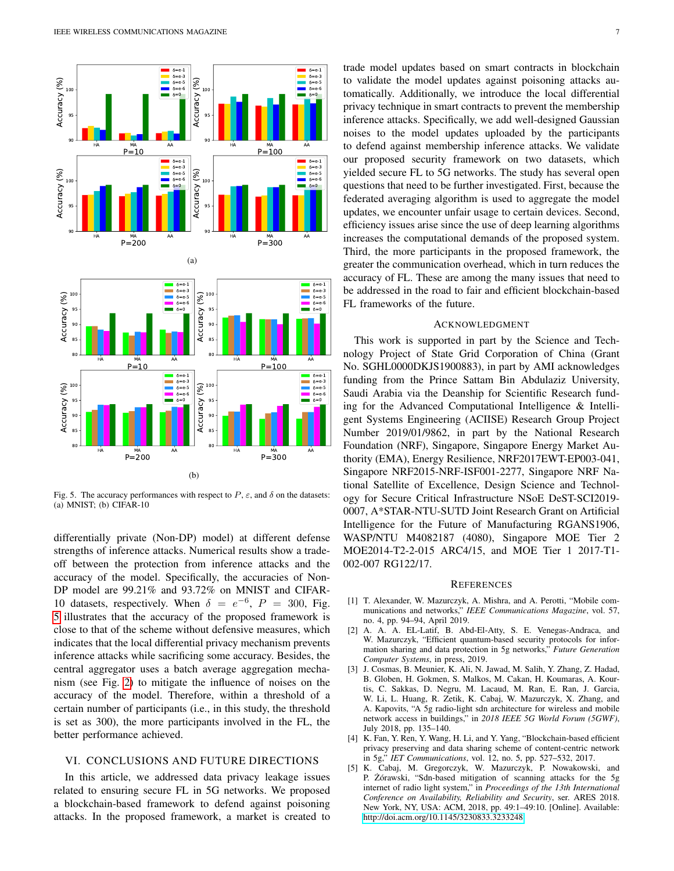<span id="page-6-6"></span>

<span id="page-6-5"></span>Fig. 5. The accuracy performances with respect to  $P$ ,  $\varepsilon$ , and  $\delta$  on the datasets: (a) MNIST; (b) CIFAR-10

differentially private (Non-DP) model) at different defense strengths of inference attacks. Numerical results show a tradeoff between the protection from inference attacks and the accuracy of the model. Specifically, the accuracies of Non-DP model are 99.21% and 93.72% on MNIST and CIFAR-10 datasets, respectively. When  $\delta = e^{-6}$ ,  $P = 300$ , Fig. [5](#page-6-5) illustrates that the accuracy of the proposed framework is close to that of the scheme without defensive measures, which indicates that the local differential privacy mechanism prevents inference attacks while sacrificing some accuracy. Besides, the central aggregator uses a batch average aggregation mechanism (see Fig. [2\)](#page-4-0) to mitigate the influence of noises on the accuracy of the model. Therefore, within a threshold of a certain number of participants (i.e., in this study, the threshold is set as 300), the more participants involved in the FL, the better performance achieved.

# VI. CONCLUSIONS AND FUTURE DIRECTIONS

In this article, we addressed data privacy leakage issues related to ensuring secure FL in 5G networks. We proposed a blockchain-based framework to defend against poisoning attacks. In the proposed framework, a market is created to

trade model updates based on smart contracts in blockchain to validate the model updates against poisoning attacks automatically. Additionally, we introduce the local differential privacy technique in smart contracts to prevent the membership inference attacks. Specifically, we add well-designed Gaussian noises to the model updates uploaded by the participants to defend against membership inference attacks. We validate our proposed security framework on two datasets, which yielded secure FL to 5G networks. The study has several open questions that need to be further investigated. First, because the federated averaging algorithm is used to aggregate the model updates, we encounter unfair usage to certain devices. Second, efficiency issues arise since the use of deep learning algorithms increases the computational demands of the proposed system. Third, the more participants in the proposed framework, the greater the communication overhead, which in turn reduces the accuracy of FL. These are among the many issues that need to be addressed in the road to fair and efficient blockchain-based FL frameworks of the future.

#### ACKNOWLEDGMENT

This work is supported in part by the Science and Technology Project of State Grid Corporation of China (Grant No. SGHL0000DKJS1900883), in part by AMI acknowledges funding from the Prince Sattam Bin Abdulaziz University, Saudi Arabia via the Deanship for Scientific Research funding for the Advanced Computational Intelligence & Intelligent Systems Engineering (ACIISE) Research Group Project Number 2019/01/9862, in part by the National Research Foundation (NRF), Singapore, Singapore Energy Market Authority (EMA), Energy Resilience, NRF2017EWT-EP003-041, Singapore NRF2015-NRF-ISF001-2277, Singapore NRF National Satellite of Excellence, Design Science and Technology for Secure Critical Infrastructure NSoE DeST-SCI2019- 0007, A\*STAR-NTU-SUTD Joint Research Grant on Artificial Intelligence for the Future of Manufacturing RGANS1906, WASP/NTU M4082187 (4080), Singapore MOE Tier 2 MOE2014-T2-2-015 ARC4/15, and MOE Tier 1 2017-T1- 002-007 RG122/17.

#### **REFERENCES**

- <span id="page-6-0"></span>[1] T. Alexander, W. Mazurczyk, A. Mishra, and A. Perotti, "Mobile communications and networks," *IEEE Communications Magazine*, vol. 57, no. 4, pp. 94–94, April 2019.
- <span id="page-6-1"></span>[2] A. A. A. EL-Latif, B. Abd-El-Atty, S. E. Venegas-Andraca, and W. Mazurczyk, "Efficient quantum-based security protocols for information sharing and data protection in 5g networks," *Future Generation Computer Systems*, in press, 2019.
- <span id="page-6-2"></span>[3] J. Cosmas, B. Meunier, K. Ali, N. Jawad, M. Salih, Y. Zhang, Z. Hadad, B. Globen, H. Gokmen, S. Malkos, M. Cakan, H. Koumaras, A. Kourtis, C. Sakkas, D. Negru, M. Lacaud, M. Ran, E. Ran, J. Garcia, W. Li, L. Huang, R. Zetik, K. Cabaj, W. Mazurczyk, X. Zhang, and A. Kapovits, "A 5g radio-light sdn architecture for wireless and mobile network access in buildings," in *2018 IEEE 5G World Forum (5GWF)*, July 2018, pp. 135–140.
- <span id="page-6-3"></span>[4] K. Fan, Y. Ren, Y. Wang, H. Li, and Y. Yang, "Blockchain-based efficient privacy preserving and data sharing scheme of content-centric network in 5g," *IET Communications*, vol. 12, no. 5, pp. 527–532, 2017.
- <span id="page-6-4"></span>[5] K. Cabaj, M. Gregorczyk, W. Mazurczyk, P. Nowakowski, and P. Żórawski, "Sdn-based mitigation of scanning attacks for the 5g internet of radio light system," in *Proceedings of the 13th International Conference on Availability, Reliability and Security*, ser. ARES 2018. New York, NY, USA: ACM, 2018, pp. 49:1–49:10. [Online]. Available: <http://doi.acm.org/10.1145/3230833.3233248>